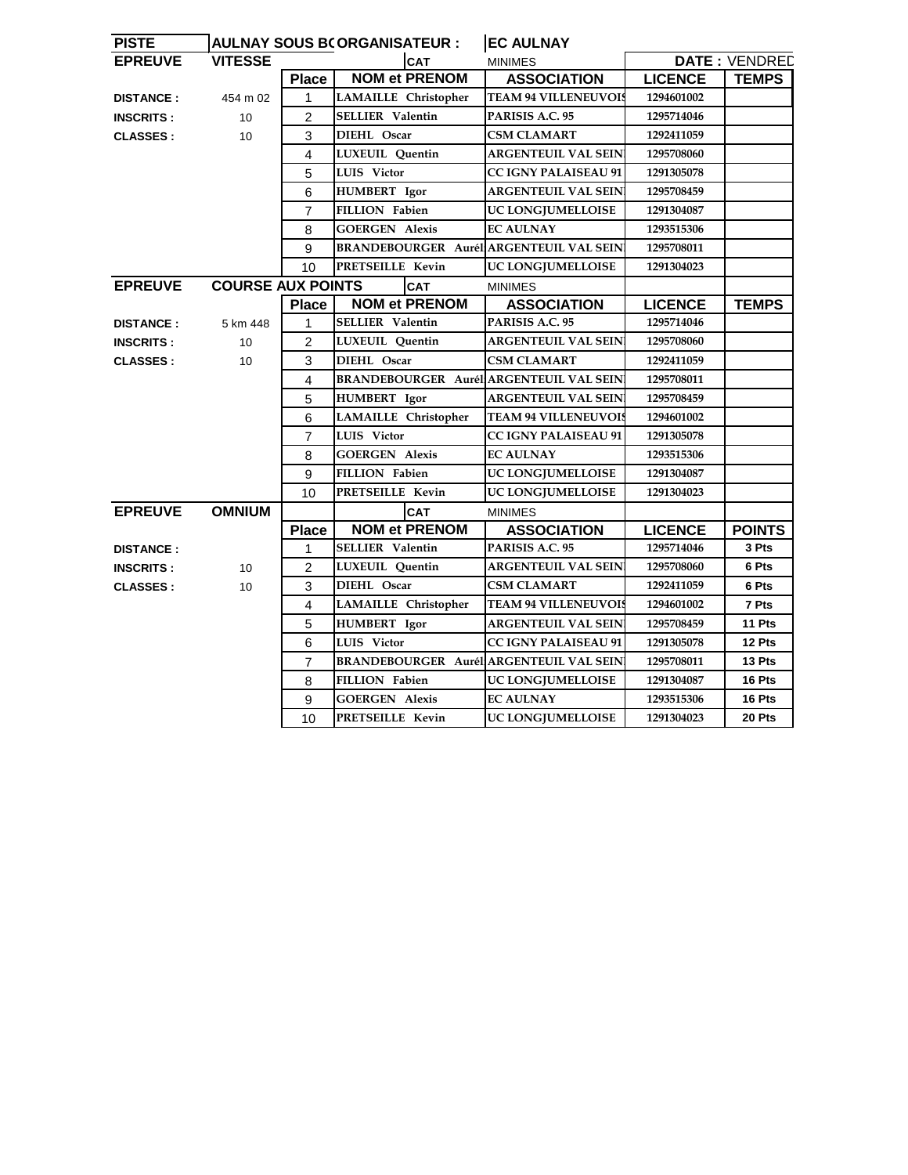| <b>PISTE</b>     |                          |                | <b>AULNAY SOUS BCORGANISATEUR :</b>     | <b>EC AULNAY</b>            |                      |               |
|------------------|--------------------------|----------------|-----------------------------------------|-----------------------------|----------------------|---------------|
| <b>EPREUVE</b>   | <b>VITESSE</b>           |                | <b>CAT</b>                              | <b>MINIMES</b>              | <b>DATE: VENDREE</b> |               |
|                  |                          | <b>Place</b>   | <b>NOM et PRENOM</b>                    | <b>ASSOCIATION</b>          | <b>LICENCE</b>       | <b>TEMPS</b>  |
| <b>DISTANCE:</b> | 454 m 02                 | $\mathbf 1$    | LAMAILLE Christopher                    | <b>TEAM 94 VILLENEUVOIS</b> | 1294601002           |               |
| <b>INSCRITS:</b> | 10                       | $\overline{2}$ | <b>SELLIER Valentin</b>                 | PARISIS A.C. 95             | 1295714046           |               |
| <b>CLASSES:</b>  | 10                       | 3              | DIEHL Oscar                             | CSM CLAMART                 | 1292411059           |               |
|                  |                          | $\overline{4}$ | LUXEUIL Quentin                         | ARGENTEUIL VAL SEIN         | 1295708060           |               |
|                  |                          | 5              | LUIS Victor                             | <b>CC IGNY PALAISEAU 91</b> | 1291305078           |               |
|                  |                          | 6              | HUMBERT Igor                            | <b>ARGENTEUIL VAL SEIN</b>  | 1295708459           |               |
|                  |                          | $\overline{7}$ | <b>FILLION Fabien</b>                   | UC LONGJUMELLOISE           | 1291304087           |               |
|                  |                          | 8              | <b>GOERGEN Alexis</b>                   | <b>EC AULNAY</b>            | 1293515306           |               |
|                  |                          | 9              | BRANDEBOURGER Aurél ARGENTEUIL VAL SEIN |                             | 1295708011           |               |
|                  |                          | 10             | PRETSEILLE Kevin                        | UC LONGJUMELLOISE           | 1291304023           |               |
| <b>EPREUVE</b>   | <b>COURSE AUX POINTS</b> |                | <b>CAT</b>                              | <b>MINIMES</b>              |                      |               |
|                  |                          | <b>Place</b>   | <b>NOM et PRENOM</b>                    | <b>ASSOCIATION</b>          | <b>LICENCE</b>       | <b>TEMPS</b>  |
| <b>DISTANCE:</b> | 5 km 448                 | 1              | <b>SELLIER Valentin</b>                 | PARISIS A.C. 95             | 1295714046           |               |
| <b>INSCRITS:</b> | 10                       | 2              | LUXEUIL Quentin                         | <b>ARGENTEUIL VAL SEIN</b>  | 1295708060           |               |
| <b>CLASSES:</b>  | 10 <sup>1</sup>          | 3              | DIEHL Oscar                             | <b>CSM CLAMART</b>          | 1292411059           |               |
|                  |                          | 4              | BRANDEBOURGER Aurél ARGENTEUIL VAL SEIN |                             | 1295708011           |               |
|                  |                          | 5              | <b>HUMBERT</b> Igor                     | ARGENTEUIL VAL SEIN         | 1295708459           |               |
|                  |                          | 6              | <b>LAMAILLE</b> Christopher             | <b>TEAM 94 VILLENEUVOIS</b> | 1294601002           |               |
|                  |                          | $\overline{7}$ | LUIS Victor                             | <b>CC IGNY PALAISEAU 91</b> | 1291305078           |               |
|                  |                          | 8              | <b>GOERGEN Alexis</b>                   | <b>EC AULNAY</b>            | 1293515306           |               |
|                  |                          | 9              | <b>FILLION Fabien</b>                   | UC LONGJUMELLOISE           | 1291304087           |               |
|                  |                          | 10             | PRETSEILLE Kevin                        | UC LONGJUMELLOISE           | 1291304023           |               |
| <b>EPREUVE</b>   | <b>OMNIUM</b>            |                | <b>CAT</b>                              | <b>MINIMES</b>              |                      |               |
|                  |                          | <b>Place</b>   | <b>NOM et PRENOM</b>                    | <b>ASSOCIATION</b>          | <b>LICENCE</b>       | <b>POINTS</b> |
| <b>DISTANCE:</b> |                          | 1              | <b>SELLIER Valentin</b>                 | PARISIS A.C. 95             | 1295714046           | 3 Pts         |
| <b>INSCRITS:</b> | 10                       | $\overline{2}$ | LUXEUIL Quentin                         | <b>ARGENTEUIL VAL SEIN</b>  | 1295708060           | 6 Pts         |
| <b>CLASSES:</b>  | 10                       | 3              | DIEHL Oscar                             | <b>CSM CLAMART</b>          | 1292411059           | 6 Pts         |
|                  |                          | 4              | <b>LAMAILLE</b> Christopher             | <b>TEAM 94 VILLENEUVOIS</b> | 1294601002           | 7 Pts         |
|                  |                          | 5              | HUMBERT Igor                            | <b>ARGENTEUIL VAL SEIN</b>  | 1295708459           | 11 Pts        |
|                  |                          | 6              | <b>LUIS</b> Victor                      | <b>CC IGNY PALAISEAU 91</b> | 1291305078           | 12 Pts        |
|                  |                          | $\overline{7}$ | BRANDEBOURGER Aurél ARGENTEUIL VAL SEIN |                             | 1295708011           | 13 Pts        |
|                  |                          | 8              | <b>FILLION Fabien</b>                   | UC LONGJUMELLOISE           | 1291304087           | 16 Pts        |
|                  |                          | 9              | <b>GOERGEN Alexis</b>                   | <b>EC AULNAY</b>            | 1293515306           | 16 Pts        |
|                  |                          | 10             | <b>PRETSEILLE Kevin</b>                 | UC LONGJUMELLOISE           | 1291304023           | 20 Pts        |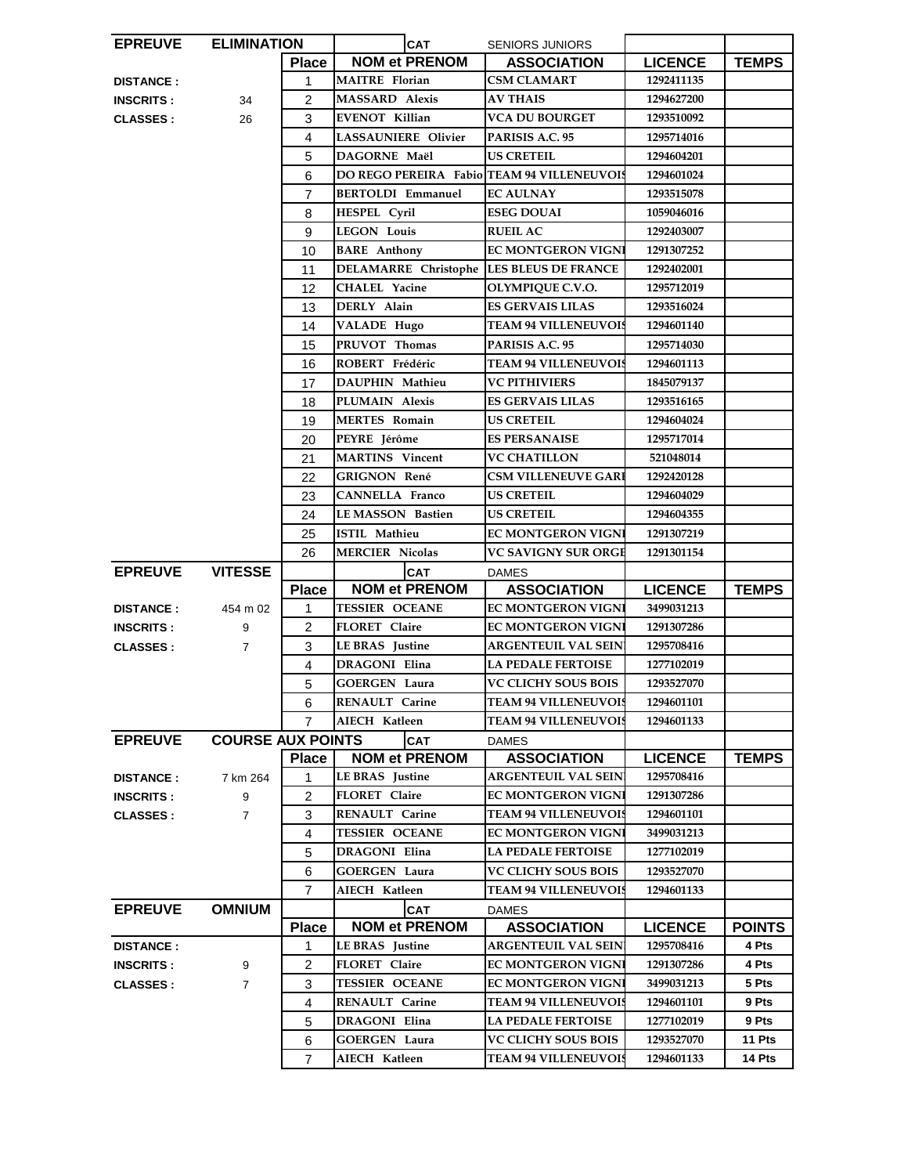| <b>EPREUVE</b>   | <b>ELIMINATION</b>       |                | <b>CAT</b>                                        | <b>SENIORS JUNIORS</b>                                    |                          |                  |
|------------------|--------------------------|----------------|---------------------------------------------------|-----------------------------------------------------------|--------------------------|------------------|
|                  |                          | <b>Place</b>   | <b>NOM et PRENOM</b>                              | <b>ASSOCIATION</b>                                        | <b>LICENCE</b>           | <b>TEMPS</b>     |
| <b>DISTANCE:</b> |                          | 1              | <b>MAITRE</b> Florian                             | <b>CSM CLAMART</b>                                        | 1292411135               |                  |
| <b>INSCRITS:</b> | 34                       | $\overline{2}$ | <b>MASSARD Alexis</b>                             | <b>AV THAIS</b>                                           | 1294627200               |                  |
| <b>CLASSES:</b>  | 26                       | 3              | <b>EVENOT Killian</b>                             | <b>VCA DU BOURGET</b>                                     | 1293510092               |                  |
|                  |                          | 4              | LASSAUNIERE Olivier                               | PARISIS A.C. 95                                           | 1295714016               |                  |
|                  |                          | 5              | DAGORNE Maël                                      | <b>US CRETEIL</b>                                         | 1294604201               |                  |
|                  |                          | 6              | <b>DO REGO PEREIRA Fabio TEAM 94 VILLENEUVOIS</b> |                                                           | 1294601024               |                  |
|                  |                          | $\overline{7}$ | <b>BERTOLDI Emmanuel</b>                          | <b>EC AULNAY</b>                                          | 1293515078               |                  |
|                  |                          | 8              | HESPEL Cyril                                      | <b>ESEG DOUAI</b>                                         | 1059046016               |                  |
|                  |                          | 9              | <b>LEGON Louis</b>                                | <b>RUEIL AC</b>                                           | 1292403007               |                  |
|                  |                          | 10             | <b>BARE</b> Anthony                               | <b>EC MONTGERON VIGNI</b>                                 | 1291307252               |                  |
|                  |                          | 11             | DELAMARRE Christophe LES BLEUS DE FRANCE          |                                                           | 1292402001               |                  |
|                  |                          | 12             | <b>CHALEL Yacine</b>                              | OLYMPIQUE C.V.O.                                          | 1295712019               |                  |
|                  |                          | 13             | DERLY Alain                                       | <b>ES GERVAIS LILAS</b>                                   | 1293516024               |                  |
|                  |                          | 14             | VALADE Hugo                                       | <b>TEAM 94 VILLENEUVOIS</b>                               | 1294601140               |                  |
|                  |                          | 15             | PRUVOT Thomas                                     | PARISIS A.C. 95                                           | 1295714030               |                  |
|                  |                          | 16             | ROBERT Frédéric                                   | <b>TEAM 94 VILLENEUVOIS</b>                               | 1294601113               |                  |
|                  |                          | 17             | <b>DAUPHIN Mathieu</b>                            | <b>VC PITHIVIERS</b>                                      | 1845079137               |                  |
|                  |                          | 18             | PLUMAIN Alexis                                    | <b>ES GERVAIS LILAS</b>                                   | 1293516165               |                  |
|                  |                          | 19             | <b>MERTES Romain</b>                              | <b>US CRETEIL</b>                                         | 1294604024               |                  |
|                  |                          | 20             | PEYRE Jérôme                                      | <b>ES PERSANAISE</b>                                      | 1295717014               |                  |
|                  |                          | 21             | <b>MARTINS</b> Vincent                            | <b>VC CHATILLON</b>                                       | 521048014                |                  |
|                  |                          | 22             | GRIGNON René                                      | <b>CSM VILLENEUVE GARI</b>                                | 1292420128               |                  |
|                  |                          | 23             | CANNELLA Franco                                   | <b>US CRETEIL</b>                                         | 1294604029               |                  |
|                  |                          | 24             | <b>LE MASSON Bastien</b>                          | US CRETEIL                                                | 1294604355               |                  |
|                  |                          |                | <b>ISTIL Mathieu</b>                              | <b>EC MONTGERON VIGNI</b>                                 | 1291307219               |                  |
|                  |                          | 25<br>26       | <b>MERCIER Nicolas</b>                            | <b>VC SAVIGNY SUR ORGE</b>                                | 1291301154               |                  |
|                  |                          |                |                                                   |                                                           |                          |                  |
|                  |                          |                |                                                   |                                                           |                          |                  |
| <b>EPREUVE</b>   | <b>VITESSE</b>           |                | <b>CAT</b>                                        | <b>DAMES</b>                                              |                          |                  |
|                  |                          | <b>Place</b>   | <b>NOM et PRENOM</b>                              | <b>ASSOCIATION</b>                                        | <b>LICENCE</b>           | <b>TEMPS</b>     |
| <b>DISTANCE:</b> | 454 m 02                 | 1              | <b>TESSIER OCEANE</b>                             | <b>EC MONTGERON VIGNI</b>                                 | 3499031213               |                  |
| <b>INSCRITS:</b> | 9                        | $\overline{2}$ | FLORET Claire                                     | <b>EC MONTGERON VIGNI</b>                                 | 1291307286               |                  |
| <b>CLASSES:</b>  | $\overline{7}$           | 3              | <b>LE BRAS</b> Justine                            | <b>ARGENTEUIL VAL SEIN</b>                                | 1295708416               |                  |
|                  |                          | $\overline{4}$ | DRAGONI Elina                                     | <b>LA PEDALE FERTOISE</b>                                 | 1277102019               |                  |
|                  |                          | 5              | <b>GOERGEN Laura</b>                              | <b>VC CLICHY SOUS BOIS</b>                                | 1293527070               |                  |
|                  |                          | 6              | <b>RENAULT Carine</b>                             | <b>TEAM 94 VILLENEUVOIS</b>                               | 1294601101               |                  |
|                  |                          | 7              | AIECH Katleen                                     | <b>TEAM 94 VILLENEUVOIS</b>                               | 1294601133               |                  |
| <b>EPREUVE</b>   | <b>COURSE AUX POINTS</b> |                | <b>CAT</b>                                        | <b>DAMES</b>                                              |                          |                  |
|                  |                          | <b>Place</b>   | <b>NOM et PRENOM</b>                              | <b>ASSOCIATION</b>                                        | <b>LICENCE</b>           | <b>TEMPS</b>     |
| <b>DISTANCE:</b> | 7 km 264                 | 1              | LE BRAS Justine                                   | ARGENTEUIL VAL SEIN                                       | 1295708416               |                  |
| <b>INSCRITS:</b> | 9                        | $\overline{2}$ | FLORET Claire                                     | <b>EC MONTGERON VIGNI</b>                                 | 1291307286               |                  |
| <b>CLASSES:</b>  | $\overline{7}$           | 3              | RENAULT Carine                                    | <b>TEAM 94 VILLENEUVOIS</b>                               | 1294601101               |                  |
|                  |                          | 4              | <b>TESSIER OCEANE</b>                             | <b>EC MONTGERON VIGNI</b>                                 | 3499031213               |                  |
|                  |                          | 5              | <b>DRAGONI Elina</b>                              | <b>LA PEDALE FERTOISE</b>                                 | 1277102019               |                  |
|                  |                          | 6              | GOERGEN Laura                                     | <b>VC CLICHY SOUS BOIS</b>                                | 1293527070               |                  |
|                  |                          | 7              | AIECH Katleen                                     | <b>TEAM 94 VILLENEUVOIS</b>                               | 1294601133               |                  |
| <b>EPREUVE</b>   | <b>OMNIUM</b>            |                | <b>CAT</b>                                        | <b>DAMES</b>                                              |                          |                  |
|                  |                          | <b>Place</b>   | <b>NOM et PRENOM</b>                              | <b>ASSOCIATION</b>                                        | <b>LICENCE</b>           | <b>POINTS</b>    |
| <b>DISTANCE:</b> |                          | 1              | LE BRAS Justine                                   | <b>ARGENTEUIL VAL SEIN</b>                                | 1295708416               | 4 Pts            |
| <b>INSCRITS:</b> | 9                        | 2              | FLORET Claire                                     | <b>EC MONTGERON VIGNI</b>                                 | 1291307286               | 4 Pts            |
| <b>CLASSES:</b>  | $\overline{7}$           | 3              | <b>TESSIER OCEANE</b>                             | <b>EC MONTGERON VIGNI</b>                                 | 3499031213               | 5 Pts            |
|                  |                          | 4              | RENAULT Carine                                    | <b>TEAM 94 VILLENEUVOIS</b>                               | 1294601101               | 9 Pts            |
|                  |                          | 5              | DRAGONI Elina                                     | <b>LA PEDALE FERTOISE</b>                                 | 1277102019               | 9 Pts            |
|                  |                          | 6<br>7         | <b>GOERGEN Laura</b><br>AIECH Katleen             | <b>VC CLICHY SOUS BOIS</b><br><b>TEAM 94 VILLENEUVOIS</b> | 1293527070<br>1294601133 | 11 Pts<br>14 Pts |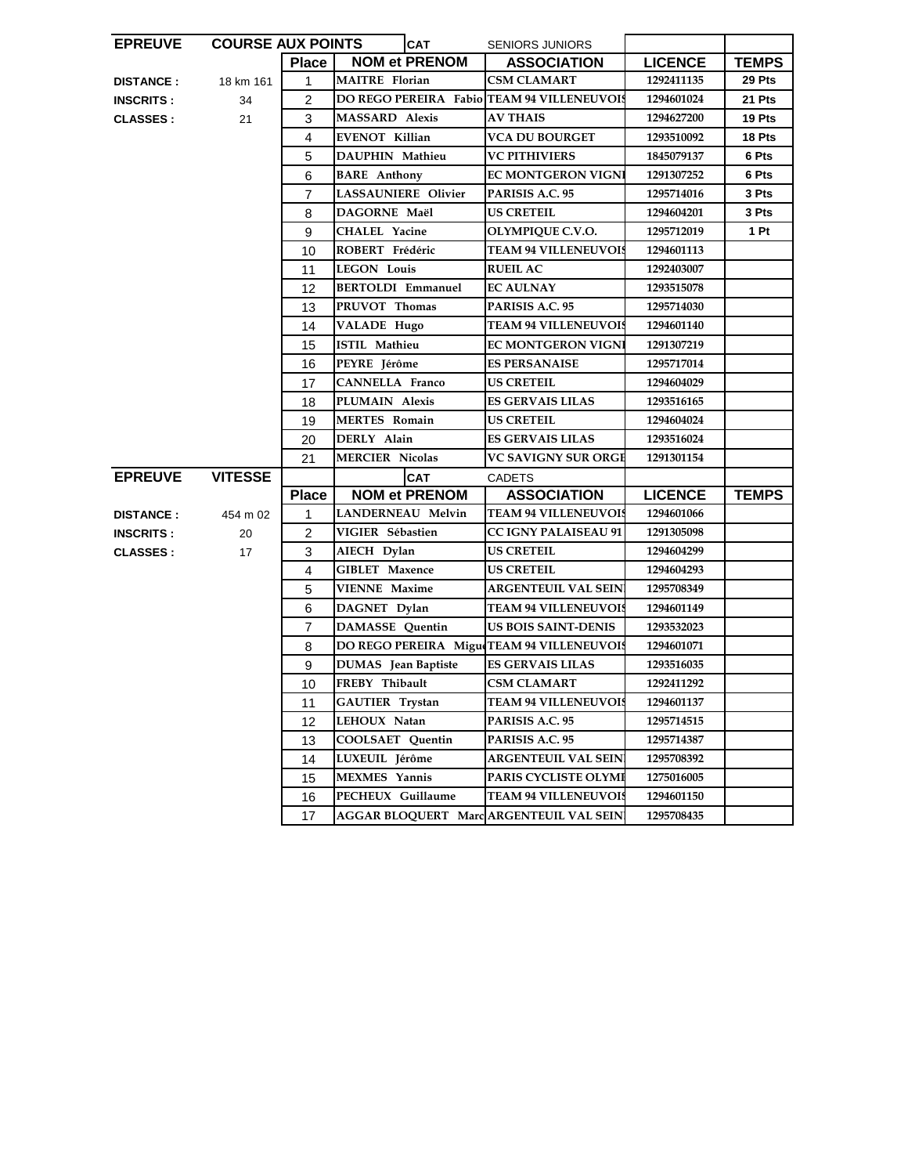| <b>EPREUVE</b>   | <b>COURSE AUX POINTS</b> |                | <b>CAT</b>                                 | <b>SENIORS JUNIORS</b>      |                |              |
|------------------|--------------------------|----------------|--------------------------------------------|-----------------------------|----------------|--------------|
|                  |                          | <b>Place</b>   | <b>NOM et PRENOM</b>                       | <b>ASSOCIATION</b>          | <b>LICENCE</b> | <b>TEMPS</b> |
| <b>DISTANCE:</b> | 18 km 161                | $\mathbf{1}$   | <b>MAITRE</b> Florian                      | <b>CSM CLAMART</b>          | 1292411135     | 29 Pts       |
| <b>INSCRITS:</b> | 34                       | 2              | DO REGO PEREIRA Fabio TEAM 94 VILLENEUVOIS |                             | 1294601024     | 21 Pts       |
| <b>CLASSES:</b>  | 21                       | 3              | <b>MASSARD</b> Alexis                      | <b>AV THAIS</b>             | 1294627200     | 19 Pts       |
|                  |                          | 4              | <b>EVENOT Killian</b>                      | <b>VCA DU BOURGET</b>       | 1293510092     | 18 Pts       |
|                  |                          | 5              | DAUPHIN Mathieu                            | <b>VC PITHIVIERS</b>        | 1845079137     | 6 Pts        |
|                  |                          | 6              | <b>BARE</b> Anthony                        | <b>EC MONTGERON VIGNI</b>   | 1291307252     | 6 Pts        |
|                  |                          | $\overline{7}$ | <b>LASSAUNIERE Olivier</b>                 | PARISIS A.C. 95             | 1295714016     | 3 Pts        |
|                  |                          | 8              | DAGORNE Maël                               | <b>US CRETEIL</b>           | 1294604201     | 3 Pts        |
|                  |                          | 9              | <b>CHALEL Yacine</b>                       | OLYMPIQUE C.V.O.            | 1295712019     | 1 Pt         |
|                  |                          | 10             | ROBERT Frédéric                            | <b>TEAM 94 VILLENEUVOIS</b> | 1294601113     |              |
|                  |                          | 11             | <b>LEGON Louis</b>                         | <b>RUEIL AC</b>             | 1292403007     |              |
|                  |                          | 12             | <b>BERTOLDI Emmanuel</b>                   | <b>EC AULNAY</b>            | 1293515078     |              |
|                  |                          | 13             | PRUVOT Thomas                              | PARISIS A.C. 95             | 1295714030     |              |
|                  |                          | 14             | <b>VALADE Hugo</b>                         | <b>TEAM 94 VILLENEUVOIS</b> | 1294601140     |              |
|                  |                          | 15             | <b>ISTIL Mathieu</b>                       | <b>EC MONTGERON VIGNI</b>   | 1291307219     |              |
|                  |                          | 16             | PEYRE Jérôme                               | <b>ES PERSANAISE</b>        | 1295717014     |              |
|                  |                          | 17             | <b>CANNELLA Franco</b>                     | <b>US CRETEIL</b>           | 1294604029     |              |
|                  |                          | 18             | PLUMAIN Alexis                             | <b>ES GERVAIS LILAS</b>     | 1293516165     |              |
|                  |                          | 19             | <b>MERTES Romain</b>                       | <b>US CRETEIL</b>           | 1294604024     |              |
|                  |                          |                | DERLY Alain                                | <b>ES GERVAIS LILAS</b>     |                |              |
|                  |                          | 20             |                                            |                             | 1293516024     |              |
|                  |                          | 21             | <b>MERCIER Nicolas</b>                     | <b>VC SAVIGNY SUR ORGE</b>  | 1291301154     |              |
| <b>EPREUVE</b>   | <b>VITESSE</b>           |                | <b>CAT</b>                                 | <b>CADETS</b>               |                |              |
|                  |                          | <b>Place</b>   | <b>NOM et PRENOM</b>                       | <b>ASSOCIATION</b>          | <b>LICENCE</b> | <b>TEMPS</b> |
| <b>DISTANCE:</b> | 454 m 02                 | 1              | <b>LANDERNEAU Melvin</b>                   | <b>TEAM 94 VILLENEUVOIS</b> | 1294601066     |              |
| <b>INSCRITS:</b> | 20                       | $\overline{2}$ | VIGIER Sébastien                           | <b>CC IGNY PALAISEAU 91</b> | 1291305098     |              |
| <b>CLASSES:</b>  | 17                       | 3              | AIECH Dylan                                | US CRETEIL                  | 1294604299     |              |
|                  |                          | 4              | <b>GIBLET</b> Maxence                      | <b>US CRETEIL</b>           | 1294604293     |              |
|                  |                          | 5              | <b>VIENNE Maxime</b>                       | <b>ARGENTEUIL VAL SEIN</b>  | 1295708349     |              |
|                  |                          | 6              | DAGNET Dylan                               | <b>TEAM 94 VILLENEUVOIS</b> | 1294601149     |              |
|                  |                          | $\overline{7}$ | <b>DAMASSE</b> Quentin                     | <b>US BOIS SAINT-DENIS</b>  | 1293532023     |              |
|                  |                          | 8              | DO REGO PEREIRA Migu TEAM 94 VILLENEUVOIS  |                             | 1294601071     |              |
|                  |                          | 9              | <b>DUMAS</b> Jean Baptiste                 | <b>ES GERVAIS LILAS</b>     | 1293516035     |              |
|                  |                          | 10             | FREBY Thibault                             | <b>CSM CLAMART</b>          | 1292411292     |              |
|                  |                          | 11             | GAUTIER Trystan                            | <b>TEAM 94 VILLENEUVOIS</b> | 1294601137     |              |
|                  |                          | 12             | LEHOUX Natan                               | PARISIS A.C. 95             | 1295714515     |              |
|                  |                          | 13             | COOLSAET Quentin                           | PARISIS A.C. 95             | 1295714387     |              |
|                  |                          | 14             | LUXEUIL Jérôme                             | <b>ARGENTEUIL VAL SEIN</b>  | 1295708392     |              |
|                  |                          | 15             | <b>MEXMES</b> Yannis                       | PARIS CYCLISTE OLYMI        | 1275016005     |              |
|                  |                          | 16             | PECHEUX Guillaume                          | <b>TEAM 94 VILLENEUVOIS</b> | 1294601150     |              |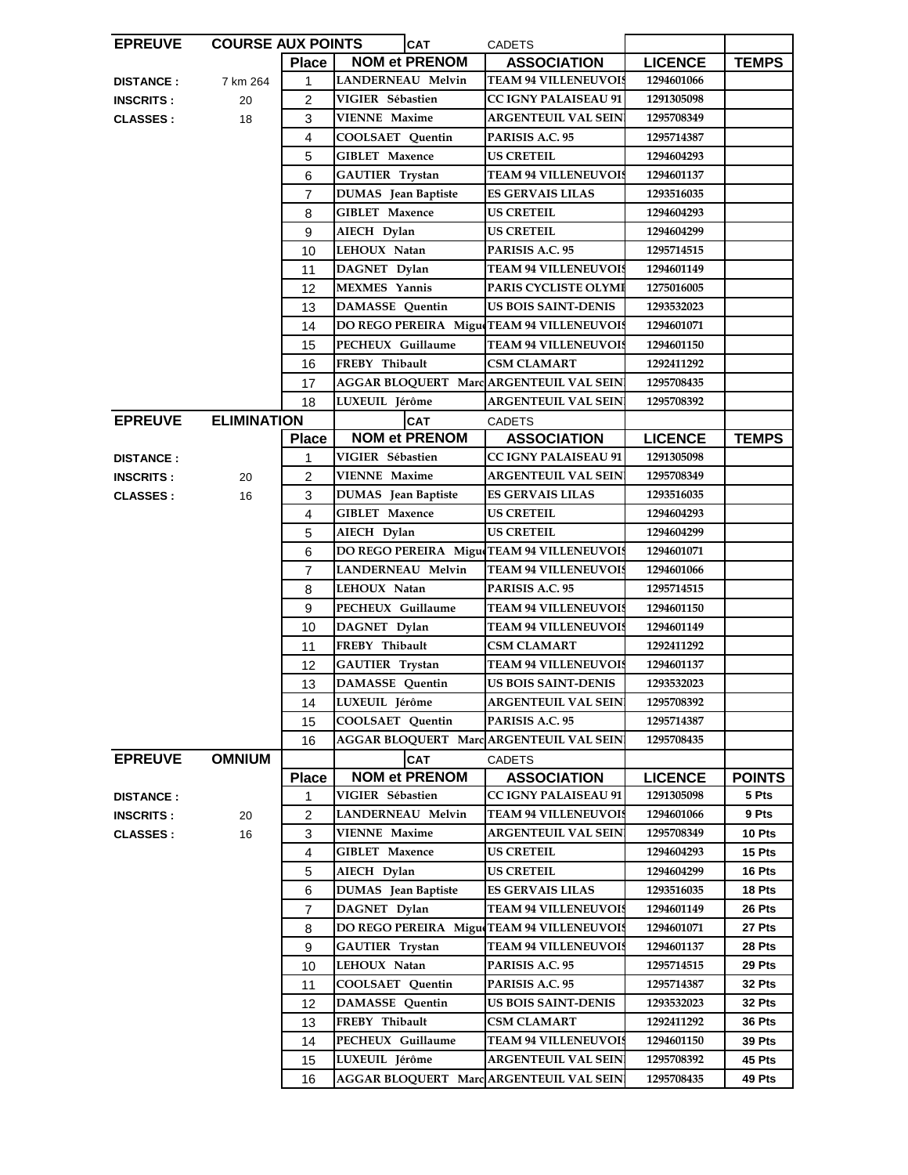| <b>EPREUVE</b>   | <b>COURSE AUX POINTS</b> |                | <b>CAT</b>                                    | <b>CADETS</b>               |                |               |
|------------------|--------------------------|----------------|-----------------------------------------------|-----------------------------|----------------|---------------|
|                  |                          | <b>Place</b>   | <b>NOM et PRENOM</b>                          | <b>ASSOCIATION</b>          | <b>LICENCE</b> | <b>TEMPS</b>  |
| <b>DISTANCE:</b> | 7 km 264                 | 1              | LANDERNEAU Melvin                             | <b>TEAM 94 VILLENEUVOIS</b> | 1294601066     |               |
| <b>INSCRITS:</b> | 20                       | $\overline{2}$ | VIGIER Sébastien                              | <b>CC IGNY PALAISEAU 91</b> | 1291305098     |               |
| <b>CLASSES:</b>  | 18                       | 3              | <b>VIENNE Maxime</b>                          | <b>ARGENTEUIL VAL SEIN</b>  | 1295708349     |               |
|                  |                          | 4              | COOLSAET Quentin                              | PARISIS A.C. 95             | 1295714387     |               |
|                  |                          | 5              | <b>GIBLET Maxence</b>                         | <b>US CRETEIL</b>           | 1294604293     |               |
|                  |                          | 6              | GAUTIER Trystan                               | <b>TEAM 94 VILLENEUVOIS</b> | 1294601137     |               |
|                  |                          | $\overline{7}$ | <b>DUMAS</b> Jean Baptiste                    | <b>ES GERVAIS LILAS</b>     | 1293516035     |               |
|                  |                          | 8              | <b>GIBLET</b> Maxence                         | <b>US CRETEIL</b>           | 1294604293     |               |
|                  |                          | 9              | AIECH Dylan                                   | US CRETEIL                  | 1294604299     |               |
|                  |                          | 10             | LEHOUX Natan                                  | PARISIS A.C. 95             | 1295714515     |               |
|                  |                          | 11             | DAGNET Dylan                                  | <b>TEAM 94 VILLENEUVOIS</b> | 1294601149     |               |
|                  |                          | 12             | <b>MEXMES</b> Yannis                          | PARIS CYCLISTE OLYMI        | 1275016005     |               |
|                  |                          | 13             | <b>DAMASSE</b> Quentin                        | <b>US BOIS SAINT-DENIS</b>  | 1293532023     |               |
|                  |                          | 14             | DO REGO PEREIRA Migu TEAM 94 VILLENEUVOIS     |                             | 1294601071     |               |
|                  |                          | 15             | PECHEUX Guillaume                             | <b>TEAM 94 VILLENEUVOIS</b> | 1294601150     |               |
|                  |                          | 16             | FREBY Thibault                                | <b>CSM CLAMART</b>          | 1292411292     |               |
|                  |                          | 17             | AGGAR BLOQUERT Marc ARGENTEUIL VAL SEIN       |                             | 1295708435     |               |
|                  |                          | 18             | LUXEUIL Jérôme                                | <b>ARGENTEUIL VAL SEIN</b>  | 1295708392     |               |
| <b>EPREUVE</b>   | <b>ELIMINATION</b>       |                | <b>CAT</b>                                    | <b>CADETS</b>               |                |               |
|                  |                          | <b>Place</b>   | <b>NOM et PRENOM</b>                          | <b>ASSOCIATION</b>          | <b>LICENCE</b> | <b>TEMPS</b>  |
| <b>DISTANCE:</b> |                          | 1              | VIGIER Sébastien                              | <b>CC IGNY PALAISEAU 91</b> | 1291305098     |               |
| <b>INSCRITS:</b> | 20                       | 2              | <b>VIENNE Maxime</b>                          | <b>ARGENTEUIL VAL SEIN</b>  | 1295708349     |               |
| <b>CLASSES:</b>  | 16                       | 3              | <b>DUMAS</b> Jean Baptiste                    | <b>ES GERVAIS LILAS</b>     | 1293516035     |               |
|                  |                          | 4              | <b>GIBLET Maxence</b>                         | <b>US CRETEIL</b>           | 1294604293     |               |
|                  |                          | 5              | AIECH Dylan                                   | <b>US CRETEIL</b>           | 1294604299     |               |
|                  |                          | 6              | DO REGO PEREIRA Migu TEAM 94 VILLENEUVOIS     |                             | 1294601071     |               |
|                  |                          | $\overline{7}$ | LANDERNEAU Melvin                             | <b>TEAM 94 VILLENEUVOIS</b> | 1294601066     |               |
|                  |                          | 8              | LEHOUX Natan                                  | PARISIS A.C. 95             | 1295714515     |               |
|                  |                          | 9              | PECHEUX Guillaume                             | <b>TEAM 94 VILLENEUVOIS</b> | 1294601150     |               |
|                  |                          | 10             | DAGNET Dylan                                  | <b>TEAM 94 VILLENEUVOIS</b> | 1294601149     |               |
|                  |                          | 11             | FREBY Thibault                                | <b>CSM CLAMART</b>          | 1292411292     |               |
|                  |                          | 12             | <b>GAUTIER</b> Trystan                        | <b>TEAM 94 VILLENEUVOIS</b> | 1294601137     |               |
|                  |                          | 13             | <b>DAMASSE</b> Quentin                        | <b>US BOIS SAINT-DENIS</b>  | 1293532023     |               |
|                  |                          | 14             | LUXEUIL Jérôme                                | <b>ARGENTEUIL VAL SEIN</b>  | 1295708392     |               |
|                  |                          | 15             | COOLSAET Quentin                              | PARISIS A.C. 95             | 1295714387     |               |
|                  |                          | 16             | AGGAR BLOQUERT Marc ARGENTEUIL VAL SEIN       |                             | 1295708435     |               |
| <b>EPREUVE</b>   | <b>OMNIUM</b>            |                | CAT                                           | <b>CADETS</b>               |                |               |
|                  |                          | <b>Place</b>   | <b>NOM et PRENOM</b>                          | <b>ASSOCIATION</b>          | <b>LICENCE</b> | <b>POINTS</b> |
| <b>DISTANCE:</b> |                          | 1              | VIGIER Sébastien                              | <b>CC IGNY PALAISEAU 91</b> | 1291305098     | 5 Pts         |
| <b>INSCRITS:</b> | 20                       | 2              | LANDERNEAU Melvin                             | <b>TEAM 94 VILLENEUVOIS</b> | 1294601066     | 9 Pts         |
| <b>CLASSES:</b>  | 16                       | 3              | VIENNE Maxime                                 | ARGENTEUIL VAL SEIN         | 1295708349     | 10 Pts        |
|                  |                          | 4              | <b>GIBLET Maxence</b>                         | <b>US CRETEIL</b>           | 1294604293     | 15 Pts        |
|                  |                          | 5              | AIECH Dylan                                   | <b>US CRETEIL</b>           | 1294604299     | 16 Pts        |
|                  |                          | 6              | DUMAS Jean Baptiste                           | <b>ES GERVAIS LILAS</b>     | 1293516035     | 18 Pts        |
|                  |                          | 7              | DAGNET Dylan                                  | <b>TEAM 94 VILLENEUVOIS</b> | 1294601149     | 26 Pts        |
|                  |                          | 8              | DO REGO PEREIRA Migue                         | <b>TEAM 94 VILLENEUVOIS</b> | 1294601071     | 27 Pts        |
|                  |                          | 9              | GAUTIER Trystan                               | <b>TEAM 94 VILLENEUVOIS</b> | 1294601137     | 28 Pts        |
|                  |                          | 10             | LEHOUX Natan                                  | PARISIS A.C. 95             | 1295714515     | 29 Pts        |
|                  |                          | 11             | COOLSAET Quentin                              | PARISIS A.C. 95             | 1295714387     | 32 Pts        |
|                  |                          | 12             | DAMASSE Quentin                               | <b>US BOIS SAINT-DENIS</b>  | 1293532023     | 32 Pts        |
|                  |                          | 13             | FREBY Thibault                                | CSM CLAMART                 | 1292411292     | 36 Pts        |
|                  |                          | 14             | PECHEUX Guillaume                             | <b>TEAM 94 VILLENEUVOIS</b> | 1294601150     | <b>39 Pts</b> |
|                  |                          | 15             | LUXEUIL Jérôme                                | <b>ARGENTEUIL VAL SEIN</b>  | 1295708392     | 45 Pts        |
|                  |                          | 16             | <b>AGGAR BLOQUERT MarcARGENTEUIL VAL SEIN</b> |                             | 1295708435     | 49 Pts        |
|                  |                          |                |                                               |                             |                |               |